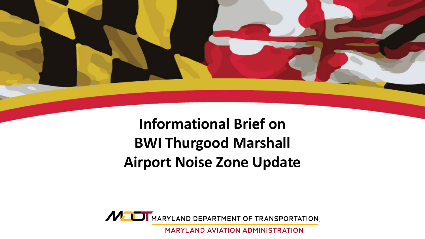

### **Informational Brief on BWI Thurgood Marshall Airport Noise Zone Update**



**MARYLAND AVIATION ADMINISTRATION**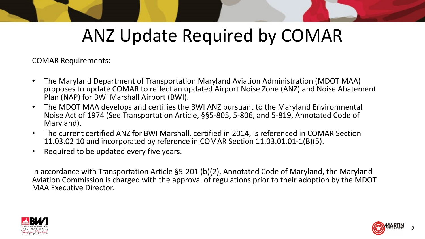## ANZ Update Required by COMAR

COMAR Requirements:

- The Maryland Department of Transportation Maryland Aviation Administration (MDOT MAA) proposes to update COMAR to reflect an updated Airport Noise Zone (ANZ) and Noise Abatement Plan (NAP) for BWI Marshall Airport (BWI).
- The MDOT MAA develops and certifies the BWI ANZ pursuant to the Maryland Environmental Noise Act of 1974 (See Transportation Article, §§5-805, 5-806, and 5-819, Annotated Code of Maryland).
- The current certified ANZ for BWI Marshall, certified in 2014, is referenced in COMAR Section 11.03.02.10 and incorporated by reference in COMAR Section 11.03.01.01-1(B)(5).
- Required to be updated every five years.

In accordance with Transportation Article §5-201 (b)(2), Annotated Code of Maryland, the Maryland Aviation Commission is charged with the approval of regulations prior to their adoption by the MDOT MAA Executive Director.



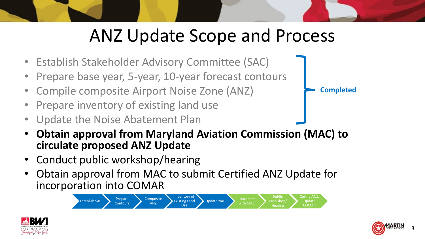## ANZ Update Scope and Process

- Establish Stakeholder Advisory Committee (SAC)
- Prepare base year, 5-year, 10-year forecast contours
- Compile composite Airport Noise Zone (ANZ)
- Prepare inventory of existing land use
- Update the Noise Abatement Plan
- **Obtain approval from Maryland Aviation Commission (MAC) to circulate proposed ANZ Update**
- Conduct public workshop/hearing
- Obtain approval from MAC to submit Certified ANZ Update for incorporation into COMAR







**Completed**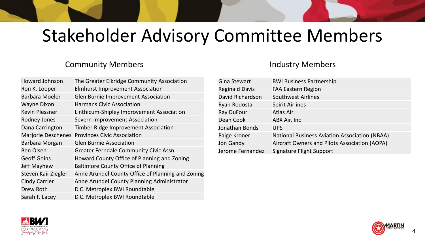### Stakeholder Advisory Committee Members

#### Community Members

| <b>Howard Johnson</b> | The Greater Elkridge Community Association        |
|-----------------------|---------------------------------------------------|
| Ron K. Looper         | <b>Elmhurst Improvement Association</b>           |
| <b>Barbara Moeler</b> | Glen Burnie Improvement Association               |
| <b>Wayne Dixon</b>    | <b>Harmans Civic Association</b>                  |
| <b>Kevin Plessner</b> | Linthicum-Shipley Improvement Association         |
| Rodney Jones          | Severn Improvement Association                    |
| Dana Carrington       | <b>Timber Ridge Improvement Association</b>       |
|                       | Marjorie Deschenes Provinces Civic Association    |
| Barbara Morgan        | <b>Glen Burnie Association</b>                    |
| <b>Ben Olsen</b>      | Greater Ferndale Community Civic Assn.            |
| <b>Geoff Goins</b>    | Howard County Office of Planning and Zoning       |
| <b>Jeff Mayhew</b>    | <b>Baltimore County Office of Planning</b>        |
| Steven Kaii-Ziegler   | Anne Arundel County Office of Planning and Zoning |
| <b>Cindy Carrier</b>  | Anne Arundel County Planning Administrator        |
| Drew Roth             | D.C. Metroplex BWI Roundtable                     |
| Sarah F. Lacey        | D.C. Metroplex BWI Roundtable                     |

#### Industry Members

| Gina Stewart          | <b>BWI Business Partnership</b>                      |
|-----------------------|------------------------------------------------------|
| <b>Reginald Davis</b> | <b>FAA Eastern Region</b>                            |
| David Richardson      | <b>Southwest Airlines</b>                            |
| Ryan Rodosta          | <b>Spirit Airlines</b>                               |
| Ray DuFour            | <b>Atlas Air</b>                                     |
| Dean Cook             | ABX Air, Inc                                         |
| Jonathan Bonds        | <b>UPS</b>                                           |
| Paige Kroner          | <b>National Business Aviation Association (NBAA)</b> |
| Jon Gandy             | Aircraft Owners and Pilots Association (AOPA)        |
| Jerome Fernandez      | <b>Signature Flight Support</b>                      |
|                       |                                                      |



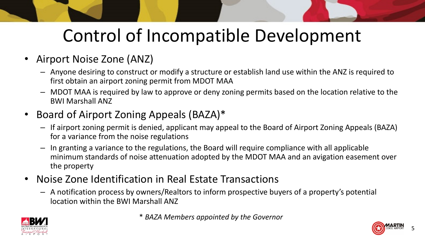# Control of Incompatible Development

- Airport Noise Zone (ANZ)
	- Anyone desiring to construct or modify a structure or establish land use within the ANZ is required to first obtain an airport zoning permit from MDOT MAA
	- MDOT MAA is required by law to approve or deny zoning permits based on the location relative to the BWI Marshall ANZ
- Board of Airport Zoning Appeals (BAZA)\*
	- If airport zoning permit is denied, applicant may appeal to the Board of Airport Zoning Appeals (BAZA) for a variance from the noise regulations
	- In granting a variance to the regulations, the Board will require compliance with all applicable minimum standards of noise attenuation adopted by the MDOT MAA and an avigation easement over the property
- Noise Zone Identification in Real Estate Transactions
	- A notification process by owners/Realtors to inform prospective buyers of a property's potential location within the BWI Marshall ANZ





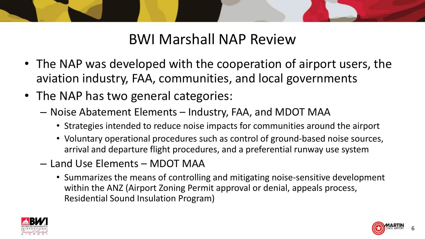

### BWI Marshall NAP Review

- The NAP was developed with the cooperation of airport users, the aviation industry, FAA, communities, and local governments
- The NAP has two general categories:
	- Noise Abatement Elements Industry, FAA, and MDOT MAA
		- Strategies intended to reduce noise impacts for communities around the airport
		- Voluntary operational procedures such as control of ground-based noise sources, arrival and departure flight procedures, and a preferential runway use system
	- Land Use Elements MDOT MAA
		- Summarizes the means of controlling and mitigating noise-sensitive development within the ANZ (Airport Zoning Permit approval or denial, appeals process, Residential Sound Insulation Program)